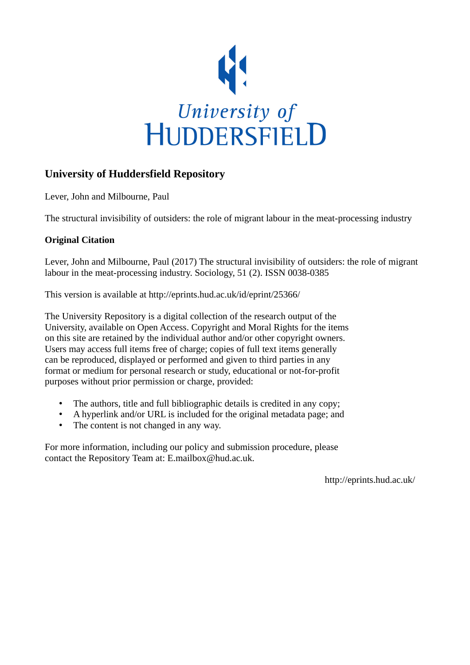

# **University of Huddersfield Repository**

Lever, John and Milbourne, Paul

The structural invisibility of outsiders: the role of migrant labour in the meat-processing industry

# **Original Citation**

Lever, John and Milbourne, Paul (2017) The structural invisibility of outsiders: the role of migrant labour in the meat-processing industry. Sociology, 51 (2). ISSN 0038-0385

This version is available at http://eprints.hud.ac.uk/id/eprint/25366/

The University Repository is a digital collection of the research output of the University, available on Open Access. Copyright and Moral Rights for the items on this site are retained by the individual author and/or other copyright owners. Users may access full items free of charge; copies of full text items generally can be reproduced, displayed or performed and given to third parties in any format or medium for personal research or study, educational or not-for-profit purposes without prior permission or charge, provided:

- The authors, title and full bibliographic details is credited in any copy;
- A hyperlink and/or URL is included for the original metadata page; and
- The content is not changed in any way.

For more information, including our policy and submission procedure, please contact the Repository Team at: E.mailbox@hud.ac.uk.

http://eprints.hud.ac.uk/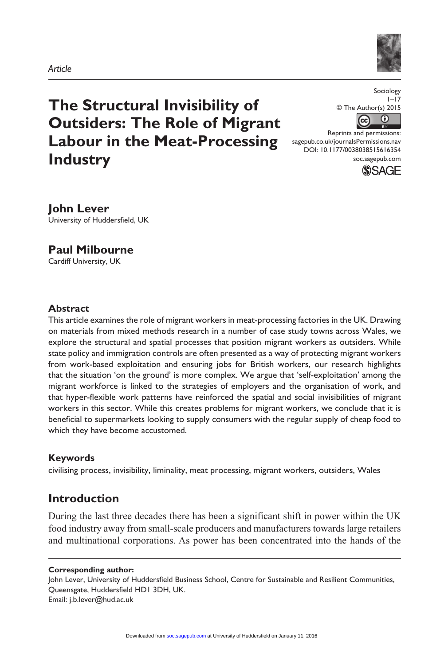

# **The Structural Invisibility of Outsiders: The Role of Migrant Labour in the Meat-Processing Industry**

Sociology 1–17 © The Author(s) 2015



Reprints and permissions: sagepub.co.uk/journalsPermissions.nav DOI: 10.1177/0038038515616354 soc.sagepub.com



**John Lever** University of Huddersfield, UK

**Paul Milbourne**

Cardiff University, UK

## **Abstract**

This article examines the role of migrant workers in meat-processing factories in the UK. Drawing on materials from mixed methods research in a number of case study towns across Wales, we explore the structural and spatial processes that position migrant workers as outsiders. While state policy and immigration controls are often presented as a way of protecting migrant workers from work-based exploitation and ensuring jobs for British workers, our research highlights that the situation 'on the ground' is more complex. We argue that 'self-exploitation' among the migrant workforce is linked to the strategies of employers and the organisation of work, and that hyper-flexible work patterns have reinforced the spatial and social invisibilities of migrant workers in this sector. While this creates problems for migrant workers, we conclude that it is beneficial to supermarkets looking to supply consumers with the regular supply of cheap food to which they have become accustomed.

## **Keywords**

civilising process, invisibility, liminality, meat processing, migrant workers, outsiders, Wales

# **Introduction**

During the last three decades there has been a significant shift in power within the UK food industry away from small-scale producers and manufacturers towards large retailers and multinational corporations. As power has been concentrated into the hands of the

#### **Corresponding author:**

John Lever, University of Huddersfield Business School, Centre for Sustainable and Resilient Communities, Queensgate, Huddersfield HD1 3DH, UK. Email: [j.b.lever@hud.ac.uk](mailto:j.b.lever@hud.ac.uk)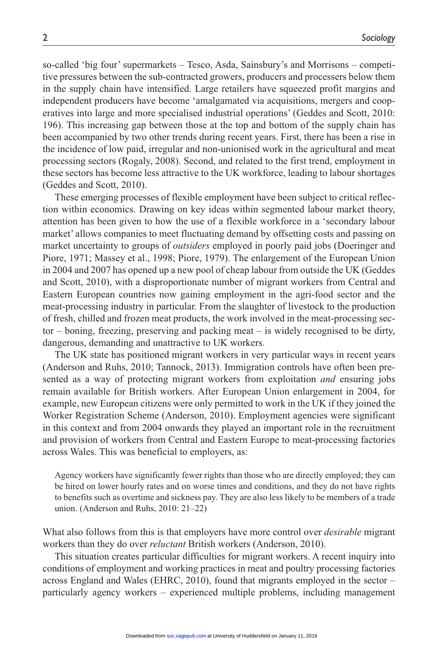so-called 'big four' supermarkets – Tesco, Asda, Sainsbury's and Morrisons – competitive pressures between the sub-contracted growers, producers and processers below them in the supply chain have intensified. Large retailers have squeezed profit margins and independent producers have become 'amalgamated via acquisitions, mergers and cooperatives into large and more specialised industrial operations' (Geddes and Scott, 2010: 196). This increasing gap between those at the top and bottom of the supply chain has been accompanied by two other trends during recent years. First, there has been a rise in the incidence of low paid, irregular and non-unionised work in the agricultural and meat processing sectors (Rogaly, 2008). Second, and related to the first trend, employment in these sectors has become less attractive to the UK workforce, leading to labour shortages (Geddes and Scott, 2010).

These emerging processes of flexible employment have been subject to critical reflection within economics. Drawing on key ideas within segmented labour market theory, attention has been given to how the use of a flexible workforce in a 'secondary labour market' allows companies to meet fluctuating demand by offsetting costs and passing on market uncertainty to groups of *outsiders* employed in poorly paid jobs (Doeringer and Piore, 1971; Massey et al., 1998; Piore, 1979). The enlargement of the European Union in 2004 and 2007 has opened up a new pool of cheap labour from outside the UK (Geddes and Scott, 2010), with a disproportionate number of migrant workers from Central and Eastern European countries now gaining employment in the agri-food sector and the meat-processing industry in particular. From the slaughter of livestock to the production of fresh, chilled and frozen meat products, the work involved in the meat-processing sector – boning, freezing, preserving and packing meat – is widely recognised to be dirty, dangerous, demanding and unattractive to UK workers.

The UK state has positioned migrant workers in very particular ways in recent years (Anderson and Ruhs, 2010; Tannock, 2013). Immigration controls have often been presented as a way of protecting migrant workers from exploitation *and* ensuring jobs remain available for British workers. After European Union enlargement in 2004, for example, new European citizens were only permitted to work in the UK if they joined the Worker Registration Scheme (Anderson, 2010). Employment agencies were significant in this context and from 2004 onwards they played an important role in the recruitment and provision of workers from Central and Eastern Europe to meat-processing factories across Wales. This was beneficial to employers, as:

Agency workers have significantly fewer rights than those who are directly employed; they can be hired on lower hourly rates and on worse times and conditions, and they do not have rights to benefits such as overtime and sickness pay. They are also less likely to be members of a trade union. (Anderson and Ruhs, 2010: 21–22)

What also follows from this is that employers have more control over *desirable* migrant workers than they do over *reluctant* British workers (Anderson, 2010).

This situation creates particular difficulties for migrant workers. A recent inquiry into conditions of employment and working practices in meat and poultry processing factories across England and Wales (EHRC, 2010), found that migrants employed in the sector – particularly agency workers – experienced multiple problems, including management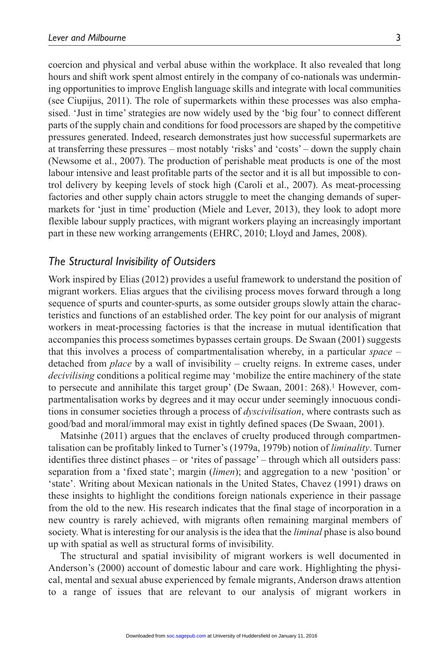coercion and physical and verbal abuse within the workplace. It also revealed that long hours and shift work spent almost entirely in the company of co-nationals was undermining opportunities to improve English language skills and integrate with local communities (see Ciupijus, 2011). The role of supermarkets within these processes was also emphasised. 'Just in time' strategies are now widely used by the 'big four' to connect different parts of the supply chain and conditions for food processors are shaped by the competitive pressures generated. Indeed, research demonstrates just how successful supermarkets are at transferring these pressures – most notably 'risks' and 'costs' – down the supply chain (Newsome et al., 2007). The production of perishable meat products is one of the most labour intensive and least profitable parts of the sector and it is all but impossible to control delivery by keeping levels of stock high (Caroli et al., 2007). As meat-processing factories and other supply chain actors struggle to meet the changing demands of supermarkets for 'just in time' production (Miele and Lever, 2013), they look to adopt more flexible labour supply practices, with migrant workers playing an increasingly important part in these new working arrangements (EHRC, 2010; Lloyd and James, 2008).

# *The Structural Invisibility of Outsiders*

Work inspired by Elias (2012) provides a useful framework to understand the position of migrant workers. Elias argues that the civilising process moves forward through a long sequence of spurts and counter-spurts, as some outsider groups slowly attain the characteristics and functions of an established order. The key point for our analysis of migrant workers in meat-processing factories is that the increase in mutual identification that accompanies this process sometimes bypasses certain groups. De Swaan (2001) suggests that this involves a process of compartmentalisation whereby, in a particular *space* – detached from *place* by a wall of invisibility – cruelty reigns. In extreme cases, under *decivilising* conditions a political regime may 'mobilize the entire machinery of the state to persecute and annihilate this target group' (De Swaan, 2001: 268).<sup>1</sup> However, compartmentalisation works by degrees and it may occur under seemingly innocuous conditions in consumer societies through a process of *dyscivilisation*, where contrasts such as good/bad and moral/immoral may exist in tightly defined spaces (De Swaan, 2001).

Matsinhe (2011) argues that the enclaves of cruelty produced through compartmentalisation can be profitably linked to Turner's (1979a, 1979b) notion of *liminality*. Turner identifies three distinct phases – or 'rites of passage' – through which all outsiders pass: separation from a 'fixed state'; margin (*limen*); and aggregation to a new 'position' or 'state'. Writing about Mexican nationals in the United States, Chavez (1991) draws on these insights to highlight the conditions foreign nationals experience in their passage from the old to the new. His research indicates that the final stage of incorporation in a new country is rarely achieved, with migrants often remaining marginal members of society. What is interesting for our analysis is the idea that the *liminal* phase is also bound up with spatial as well as structural forms of invisibility.

The structural and spatial invisibility of migrant workers is well documented in Anderson's (2000) account of domestic labour and care work. Highlighting the physical, mental and sexual abuse experienced by female migrants, Anderson draws attention to a range of issues that are relevant to our analysis of migrant workers in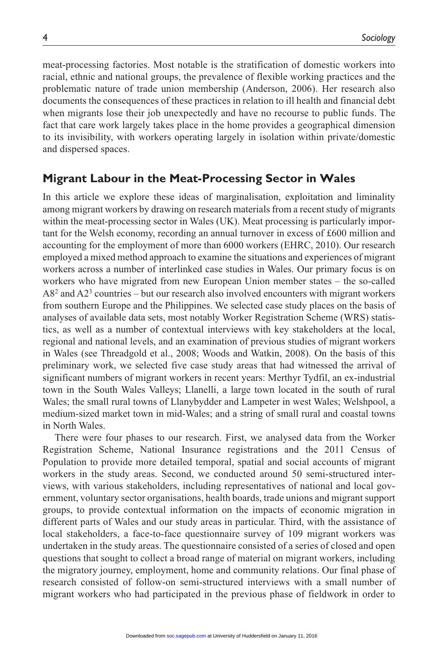meat-processing factories. Most notable is the stratification of domestic workers into racial, ethnic and national groups, the prevalence of flexible working practices and the problematic nature of trade union membership (Anderson, 2006). Her research also documents the consequences of these practices in relation to ill health and financial debt when migrants lose their job unexpectedly and have no recourse to public funds. The fact that care work largely takes place in the home provides a geographical dimension to its invisibility, with workers operating largely in isolation within private/domestic and dispersed spaces.

# **Migrant Labour in the Meat-Processing Sector in Wales**

In this article we explore these ideas of marginalisation, exploitation and liminality among migrant workers by drawing on research materials from a recent study of migrants within the meat-processing sector in Wales (UK). Meat processing is particularly important for the Welsh economy, recording an annual turnover in excess of £600 million and accounting for the employment of more than 6000 workers (EHRC, 2010). Our research employed a mixed method approach to examine the situations and experiences of migrant workers across a number of interlinked case studies in Wales. Our primary focus is on workers who have migrated from new European Union member states – the so-called  $A8<sup>2</sup>$  and  $A2<sup>3</sup>$  countries – but our research also involved encounters with migrant workers from southern Europe and the Philippines. We selected case study places on the basis of analyses of available data sets, most notably Worker Registration Scheme (WRS) statistics, as well as a number of contextual interviews with key stakeholders at the local, regional and national levels, and an examination of previous studies of migrant workers in Wales (see Threadgold et al., 2008; Woods and Watkin, 2008). On the basis of this preliminary work, we selected five case study areas that had witnessed the arrival of significant numbers of migrant workers in recent years: Merthyr Tydfil, an ex-industrial town in the South Wales Valleys; Llanelli, a large town located in the south of rural Wales; the small rural towns of Llanybydder and Lampeter in west Wales; Welshpool, a medium-sized market town in mid-Wales; and a string of small rural and coastal towns in North Wales.

There were four phases to our research. First, we analysed data from the Worker Registration Scheme, National Insurance registrations and the 2011 Census of Population to provide more detailed temporal, spatial and social accounts of migrant workers in the study areas. Second, we conducted around 50 semi-structured interviews, with various stakeholders, including representatives of national and local government, voluntary sector organisations, health boards, trade unions and migrant support groups, to provide contextual information on the impacts of economic migration in different parts of Wales and our study areas in particular. Third, with the assistance of local stakeholders, a face-to-face questionnaire survey of 109 migrant workers was undertaken in the study areas. The questionnaire consisted of a series of closed and open questions that sought to collect a broad range of material on migrant workers, including the migratory journey, employment, home and community relations. Our final phase of research consisted of follow-on semi-structured interviews with a small number of migrant workers who had participated in the previous phase of fieldwork in order to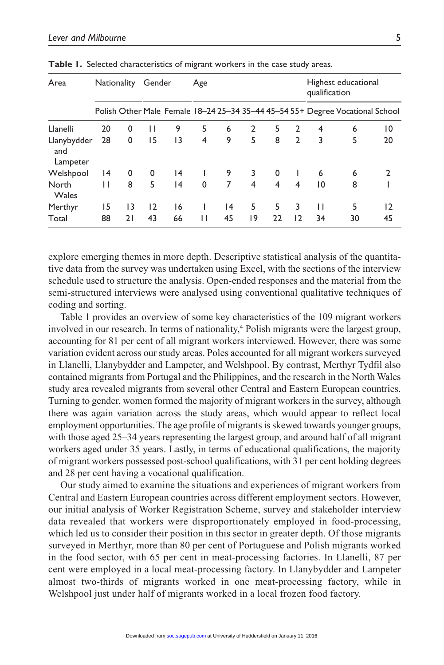| Area                           | Nationality |    | Gender |    | Age |    |                |    |                | Highest educational<br>qualification |                                                                               |    |
|--------------------------------|-------------|----|--------|----|-----|----|----------------|----|----------------|--------------------------------------|-------------------------------------------------------------------------------|----|
|                                |             |    |        |    |     |    |                |    |                |                                      | Polish Other Male Female 18-24 25-34 35-44 45-54 55+ Degree Vocational School |    |
| Llanelli                       | 20          | 0  | Н      | 9  | 5   | 6  | $\overline{2}$ | 5  | $\mathbf{2}$   | 4                                    | 6                                                                             | 10 |
| Llanybydder<br>and<br>Lampeter | 28          | 0  | 15     | 3  | 4   | 9  | 5              | 8  | $\overline{2}$ | 3                                    | 5                                                                             | 20 |
| Welshpool                      | 4           | 0  | 0      | 4  |     | 9  | 3              | 0  |                | 6                                    | 6                                                                             | 2  |
| North<br>Wales                 | П           | 8  | 5      | 4  | 0   | 7  | 4              | 4  | 4              | 10                                   | 8                                                                             |    |
| Merthyr                        | 15          | 13 | 12     | 16 |     | 4  | 5              | 5  | 3              | $\mathsf{I}$                         | 5                                                                             | 12 |
| Total                          | 88          | 21 | 43     | 66 | Н   | 45 | 19             | 22 | $\overline{2}$ | 34                                   | 30                                                                            | 45 |

**Table 1.** Selected characteristics of migrant workers in the case study areas.

explore emerging themes in more depth. Descriptive statistical analysis of the quantitative data from the survey was undertaken using Excel, with the sections of the interview schedule used to structure the analysis. Open-ended responses and the material from the semi-structured interviews were analysed using conventional qualitative techniques of coding and sorting.

Table 1 provides an overview of some key characteristics of the 109 migrant workers involved in our research. In terms of nationality,4 Polish migrants were the largest group, accounting for 81 per cent of all migrant workers interviewed. However, there was some variation evident across our study areas. Poles accounted for all migrant workers surveyed in Llanelli, Llanybydder and Lampeter, and Welshpool. By contrast, Merthyr Tydfil also contained migrants from Portugal and the Philippines, and the research in the North Wales study area revealed migrants from several other Central and Eastern European countries. Turning to gender, women formed the majority of migrant workers in the survey, although there was again variation across the study areas, which would appear to reflect local employment opportunities. The age profile of migrants is skewed towards younger groups, with those aged 25–34 years representing the largest group, and around half of all migrant workers aged under 35 years. Lastly, in terms of educational qualifications, the majority of migrant workers possessed post-school qualifications, with 31 per cent holding degrees and 28 per cent having a vocational qualification.

Our study aimed to examine the situations and experiences of migrant workers from Central and Eastern European countries across different employment sectors. However, our initial analysis of Worker Registration Scheme, survey and stakeholder interview data revealed that workers were disproportionately employed in food-processing, which led us to consider their position in this sector in greater depth. Of those migrants surveyed in Merthyr, more than 80 per cent of Portuguese and Polish migrants worked in the food sector, with 65 per cent in meat-processing factories. In Llanelli, 87 per cent were employed in a local meat-processing factory. In Llanybydder and Lampeter almost two-thirds of migrants worked in one meat-processing factory, while in Welshpool just under half of migrants worked in a local frozen food factory.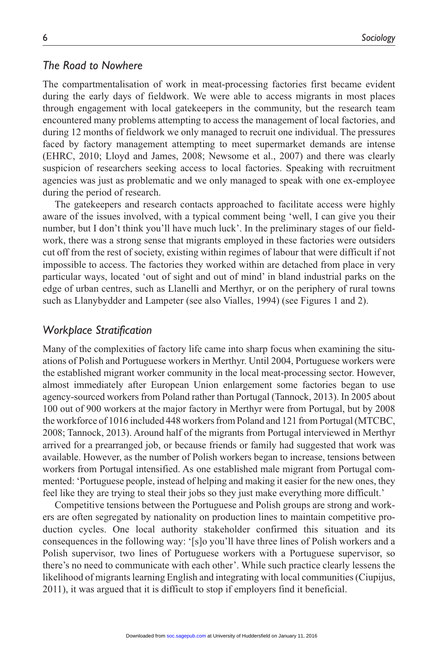### *The Road to Nowhere*

The compartmentalisation of work in meat-processing factories first became evident during the early days of fieldwork. We were able to access migrants in most places through engagement with local gatekeepers in the community, but the research team encountered many problems attempting to access the management of local factories, and during 12 months of fieldwork we only managed to recruit one individual. The pressures faced by factory management attempting to meet supermarket demands are intense (EHRC, 2010; Lloyd and James, 2008; Newsome et al., 2007) and there was clearly suspicion of researchers seeking access to local factories. Speaking with recruitment agencies was just as problematic and we only managed to speak with one ex-employee during the period of research.

The gatekeepers and research contacts approached to facilitate access were highly aware of the issues involved, with a typical comment being 'well, I can give you their number, but I don't think you'll have much luck'. In the preliminary stages of our fieldwork, there was a strong sense that migrants employed in these factories were outsiders cut off from the rest of society, existing within regimes of labour that were difficult if not impossible to access. The factories they worked within are detached from place in very particular ways, located 'out of sight and out of mind' in bland industrial parks on the edge of urban centres, such as Llanelli and Merthyr, or on the periphery of rural towns such as Llanybydder and Lampeter (see also Vialles, 1994) (see Figures 1 and 2).

#### *Workplace Stratification*

Many of the complexities of factory life came into sharp focus when examining the situations of Polish and Portuguese workers in Merthyr. Until 2004, Portuguese workers were the established migrant worker community in the local meat-processing sector. However, almost immediately after European Union enlargement some factories began to use agency-sourced workers from Poland rather than Portugal (Tannock, 2013). In 2005 about 100 out of 900 workers at the major factory in Merthyr were from Portugal, but by 2008 the workforce of 1016 included 448 workers from Poland and 121 from Portugal (MTCBC, 2008; Tannock, 2013). Around half of the migrants from Portugal interviewed in Merthyr arrived for a prearranged job, or because friends or family had suggested that work was available. However, as the number of Polish workers began to increase, tensions between workers from Portugal intensified. As one established male migrant from Portugal commented: 'Portuguese people, instead of helping and making it easier for the new ones, they feel like they are trying to steal their jobs so they just make everything more difficult.'

Competitive tensions between the Portuguese and Polish groups are strong and workers are often segregated by nationality on production lines to maintain competitive production cycles. One local authority stakeholder confirmed this situation and its consequences in the following way: '[s]o you'll have three lines of Polish workers and a Polish supervisor, two lines of Portuguese workers with a Portuguese supervisor, so there's no need to communicate with each other'. While such practice clearly lessens the likelihood of migrants learning English and integrating with local communities (Ciupijus, 2011), it was argued that it is difficult to stop if employers find it beneficial.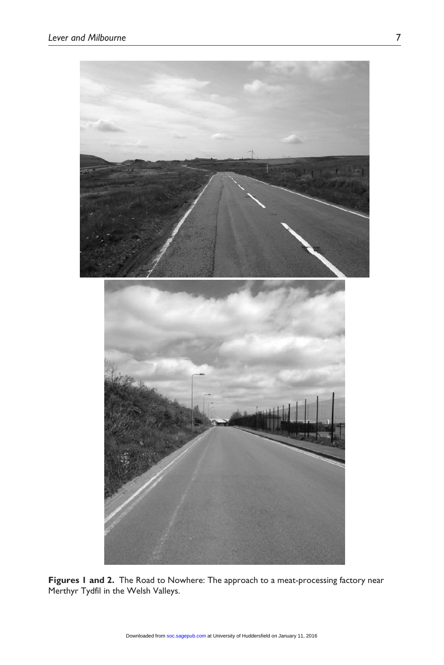

**Figures 1 and 2.** The Road to Nowhere: The approach to a meat-processing factory near Merthyr Tydfil in the Welsh Valleys.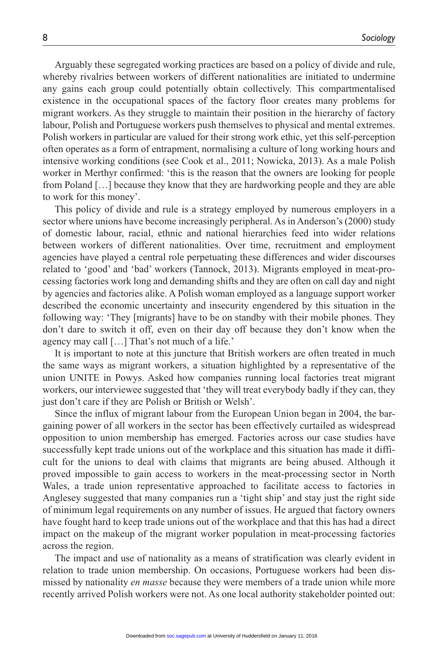Arguably these segregated working practices are based on a policy of divide and rule, whereby rivalries between workers of different nationalities are initiated to undermine any gains each group could potentially obtain collectively. This compartmentalised existence in the occupational spaces of the factory floor creates many problems for migrant workers. As they struggle to maintain their position in the hierarchy of factory labour, Polish and Portuguese workers push themselves to physical and mental extremes. Polish workers in particular are valued for their strong work ethic, yet this self-perception often operates as a form of entrapment, normalising a culture of long working hours and intensive working conditions (see Cook et al., 2011; Nowicka, 2013). As a male Polish worker in Merthyr confirmed: 'this is the reason that the owners are looking for people from Poland […] because they know that they are hardworking people and they are able to work for this money'.

This policy of divide and rule is a strategy employed by numerous employers in a sector where unions have become increasingly peripheral. As in Anderson's (2000) study of domestic labour, racial, ethnic and national hierarchies feed into wider relations between workers of different nationalities. Over time, recruitment and employment agencies have played a central role perpetuating these differences and wider discourses related to 'good' and 'bad' workers (Tannock, 2013). Migrants employed in meat-processing factories work long and demanding shifts and they are often on call day and night by agencies and factories alike. A Polish woman employed as a language support worker described the economic uncertainty and insecurity engendered by this situation in the following way: 'They [migrants] have to be on standby with their mobile phones. They don't dare to switch it off, even on their day off because they don't know when the agency may call […] That's not much of a life.'

It is important to note at this juncture that British workers are often treated in much the same ways as migrant workers, a situation highlighted by a representative of the union UNITE in Powys. Asked how companies running local factories treat migrant workers, our interviewee suggested that 'they will treat everybody badly if they can, they just don't care if they are Polish or British or Welsh'.

Since the influx of migrant labour from the European Union began in 2004, the bargaining power of all workers in the sector has been effectively curtailed as widespread opposition to union membership has emerged. Factories across our case studies have successfully kept trade unions out of the workplace and this situation has made it difficult for the unions to deal with claims that migrants are being abused. Although it proved impossible to gain access to workers in the meat-processing sector in North Wales, a trade union representative approached to facilitate access to factories in Anglesey suggested that many companies run a 'tight ship' and stay just the right side of minimum legal requirements on any number of issues. He argued that factory owners have fought hard to keep trade unions out of the workplace and that this has had a direct impact on the makeup of the migrant worker population in meat-processing factories across the region.

The impact and use of nationality as a means of stratification was clearly evident in relation to trade union membership. On occasions, Portuguese workers had been dismissed by nationality *en masse* because they were members of a trade union while more recently arrived Polish workers were not. As one local authority stakeholder pointed out: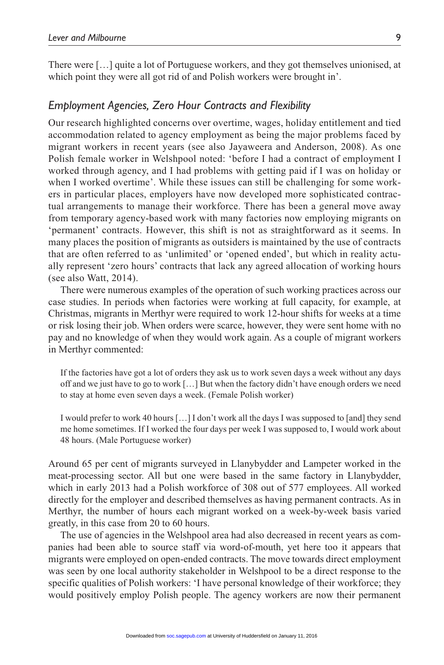There were […] quite a lot of Portuguese workers, and they got themselves unionised, at which point they were all got rid of and Polish workers were brought in'.

# *Employment Agencies, Zero Hour Contracts and Flexibility*

Our research highlighted concerns over overtime, wages, holiday entitlement and tied accommodation related to agency employment as being the major problems faced by migrant workers in recent years (see also Jayaweera and Anderson, 2008). As one Polish female worker in Welshpool noted: 'before I had a contract of employment I worked through agency, and I had problems with getting paid if I was on holiday or when I worked overtime'. While these issues can still be challenging for some workers in particular places, employers have now developed more sophisticated contractual arrangements to manage their workforce. There has been a general move away from temporary agency-based work with many factories now employing migrants on 'permanent' contracts. However, this shift is not as straightforward as it seems. In many places the position of migrants as outsiders is maintained by the use of contracts that are often referred to as 'unlimited' or 'opened ended', but which in reality actually represent 'zero hours' contracts that lack any agreed allocation of working hours (see also Watt, 2014).

There were numerous examples of the operation of such working practices across our case studies. In periods when factories were working at full capacity, for example, at Christmas, migrants in Merthyr were required to work 12-hour shifts for weeks at a time or risk losing their job. When orders were scarce, however, they were sent home with no pay and no knowledge of when they would work again. As a couple of migrant workers in Merthyr commented:

If the factories have got a lot of orders they ask us to work seven days a week without any days off and we just have to go to work […] But when the factory didn't have enough orders we need to stay at home even seven days a week. (Female Polish worker)

I would prefer to work 40 hours […] I don't work all the days I was supposed to [and] they send me home sometimes. If I worked the four days per week I was supposed to, I would work about 48 hours. (Male Portuguese worker)

Around 65 per cent of migrants surveyed in Llanybydder and Lampeter worked in the meat-processing sector. All but one were based in the same factory in Llanybydder, which in early 2013 had a Polish workforce of 308 out of 577 employees. All worked directly for the employer and described themselves as having permanent contracts. As in Merthyr, the number of hours each migrant worked on a week-by-week basis varied greatly, in this case from 20 to 60 hours.

The use of agencies in the Welshpool area had also decreased in recent years as companies had been able to source staff via word-of-mouth, yet here too it appears that migrants were employed on open-ended contracts. The move towards direct employment was seen by one local authority stakeholder in Welshpool to be a direct response to the specific qualities of Polish workers: 'I have personal knowledge of their workforce; they would positively employ Polish people. The agency workers are now their permanent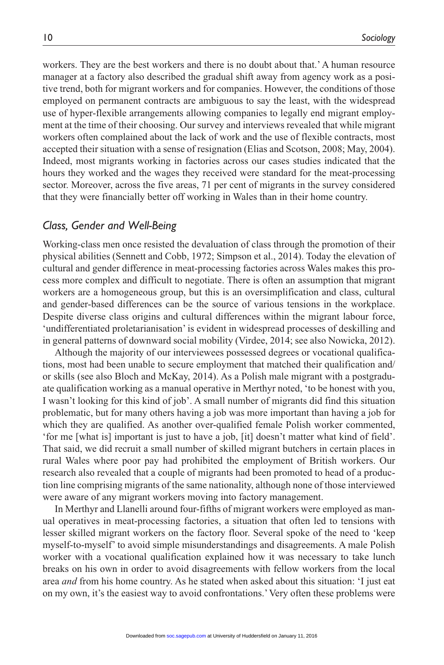workers. They are the best workers and there is no doubt about that.' A human resource manager at a factory also described the gradual shift away from agency work as a positive trend, both for migrant workers and for companies. However, the conditions of those employed on permanent contracts are ambiguous to say the least, with the widespread use of hyper-flexible arrangements allowing companies to legally end migrant employment at the time of their choosing. Our survey and interviews revealed that while migrant workers often complained about the lack of work and the use of flexible contracts, most accepted their situation with a sense of resignation (Elias and Scotson, 2008; May, 2004). Indeed, most migrants working in factories across our cases studies indicated that the hours they worked and the wages they received were standard for the meat-processing sector. Moreover, across the five areas, 71 per cent of migrants in the survey considered that they were financially better off working in Wales than in their home country.

## *Class, Gender and Well-Being*

Working-class men once resisted the devaluation of class through the promotion of their physical abilities (Sennett and Cobb, 1972; Simpson et al., 2014). Today the elevation of cultural and gender difference in meat-processing factories across Wales makes this process more complex and difficult to negotiate. There is often an assumption that migrant workers are a homogeneous group, but this is an oversimplification and class, cultural and gender-based differences can be the source of various tensions in the workplace. Despite diverse class origins and cultural differences within the migrant labour force, 'undifferentiated proletarianisation' is evident in widespread processes of deskilling and in general patterns of downward social mobility (Virdee, 2014; see also Nowicka, 2012).

Although the majority of our interviewees possessed degrees or vocational qualifications, most had been unable to secure employment that matched their qualification and/ or skills (see also Bloch and McKay, 2014). As a Polish male migrant with a postgraduate qualification working as a manual operative in Merthyr noted, 'to be honest with you, I wasn't looking for this kind of job'. A small number of migrants did find this situation problematic, but for many others having a job was more important than having a job for which they are qualified. As another over-qualified female Polish worker commented, 'for me [what is] important is just to have a job, [it] doesn't matter what kind of field'. That said, we did recruit a small number of skilled migrant butchers in certain places in rural Wales where poor pay had prohibited the employment of British workers. Our research also revealed that a couple of migrants had been promoted to head of a production line comprising migrants of the same nationality, although none of those interviewed were aware of any migrant workers moving into factory management.

In Merthyr and Llanelli around four-fifths of migrant workers were employed as manual operatives in meat-processing factories, a situation that often led to tensions with lesser skilled migrant workers on the factory floor. Several spoke of the need to 'keep myself-to-myself' to avoid simple misunderstandings and disagreements. A male Polish worker with a vocational qualification explained how it was necessary to take lunch breaks on his own in order to avoid disagreements with fellow workers from the local area *and* from his home country. As he stated when asked about this situation: 'I just eat on my own, it's the easiest way to avoid confrontations.' Very often these problems were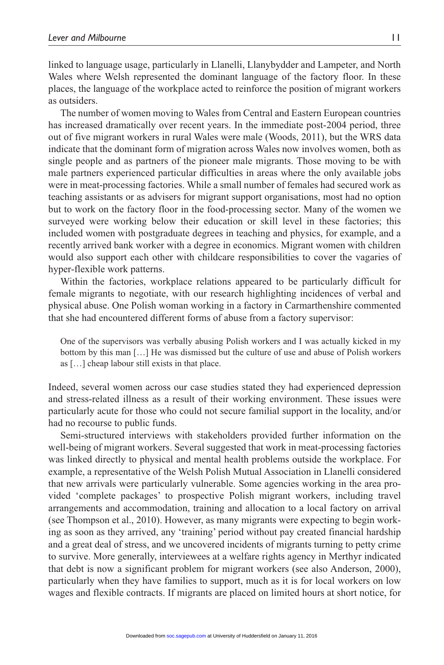linked to language usage, particularly in Llanelli, Llanybydder and Lampeter, and North Wales where Welsh represented the dominant language of the factory floor. In these places, the language of the workplace acted to reinforce the position of migrant workers as outsiders.

The number of women moving to Wales from Central and Eastern European countries has increased dramatically over recent years. In the immediate post-2004 period, three out of five migrant workers in rural Wales were male (Woods, 2011), but the WRS data indicate that the dominant form of migration across Wales now involves women, both as single people and as partners of the pioneer male migrants. Those moving to be with male partners experienced particular difficulties in areas where the only available jobs were in meat-processing factories. While a small number of females had secured work as teaching assistants or as advisers for migrant support organisations, most had no option but to work on the factory floor in the food-processing sector. Many of the women we surveyed were working below their education or skill level in these factories; this included women with postgraduate degrees in teaching and physics, for example, and a recently arrived bank worker with a degree in economics. Migrant women with children would also support each other with childcare responsibilities to cover the vagaries of hyper-flexible work patterns.

Within the factories, workplace relations appeared to be particularly difficult for female migrants to negotiate, with our research highlighting incidences of verbal and physical abuse. One Polish woman working in a factory in Carmarthenshire commented that she had encountered different forms of abuse from a factory supervisor:

One of the supervisors was verbally abusing Polish workers and I was actually kicked in my bottom by this man […] He was dismissed but the culture of use and abuse of Polish workers as […] cheap labour still exists in that place.

Indeed, several women across our case studies stated they had experienced depression and stress-related illness as a result of their working environment. These issues were particularly acute for those who could not secure familial support in the locality, and/or had no recourse to public funds.

Semi-structured interviews with stakeholders provided further information on the well-being of migrant workers. Several suggested that work in meat-processing factories was linked directly to physical and mental health problems outside the workplace. For example, a representative of the Welsh Polish Mutual Association in Llanelli considered that new arrivals were particularly vulnerable. Some agencies working in the area provided 'complete packages' to prospective Polish migrant workers, including travel arrangements and accommodation, training and allocation to a local factory on arrival (see Thompson et al., 2010). However, as many migrants were expecting to begin working as soon as they arrived, any 'training' period without pay created financial hardship and a great deal of stress, and we uncovered incidents of migrants turning to petty crime to survive. More generally, interviewees at a welfare rights agency in Merthyr indicated that debt is now a significant problem for migrant workers (see also Anderson, 2000), particularly when they have families to support, much as it is for local workers on low wages and flexible contracts. If migrants are placed on limited hours at short notice, for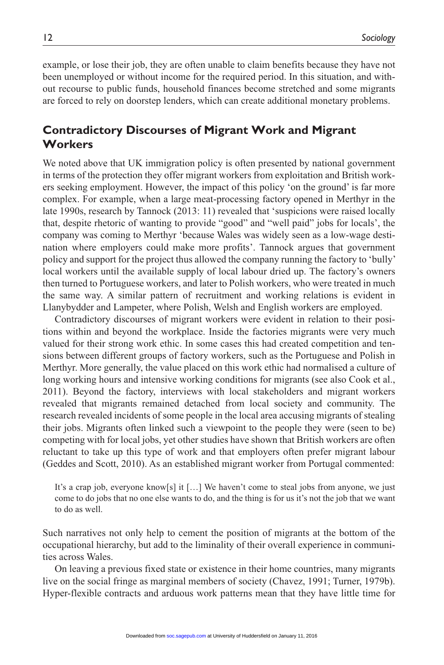example, or lose their job, they are often unable to claim benefits because they have not been unemployed or without income for the required period. In this situation, and without recourse to public funds, household finances become stretched and some migrants are forced to rely on doorstep lenders, which can create additional monetary problems.

# **Contradictory Discourses of Migrant Work and Migrant Workers**

We noted above that UK immigration policy is often presented by national government in terms of the protection they offer migrant workers from exploitation and British workers seeking employment. However, the impact of this policy 'on the ground' is far more complex. For example, when a large meat-processing factory opened in Merthyr in the late 1990s, research by Tannock (2013: 11) revealed that 'suspicions were raised locally that, despite rhetoric of wanting to provide "good" and "well paid" jobs for locals', the company was coming to Merthyr 'because Wales was widely seen as a low-wage destination where employers could make more profits'. Tannock argues that government policy and support for the project thus allowed the company running the factory to 'bully' local workers until the available supply of local labour dried up. The factory's owners then turned to Portuguese workers, and later to Polish workers, who were treated in much the same way. A similar pattern of recruitment and working relations is evident in Llanybydder and Lampeter, where Polish, Welsh and English workers are employed.

Contradictory discourses of migrant workers were evident in relation to their positions within and beyond the workplace. Inside the factories migrants were very much valued for their strong work ethic. In some cases this had created competition and tensions between different groups of factory workers, such as the Portuguese and Polish in Merthyr. More generally, the value placed on this work ethic had normalised a culture of long working hours and intensive working conditions for migrants (see also Cook et al., 2011). Beyond the factory, interviews with local stakeholders and migrant workers revealed that migrants remained detached from local society and community. The research revealed incidents of some people in the local area accusing migrants of stealing their jobs. Migrants often linked such a viewpoint to the people they were (seen to be) competing with for local jobs, yet other studies have shown that British workers are often reluctant to take up this type of work and that employers often prefer migrant labour (Geddes and Scott, 2010). As an established migrant worker from Portugal commented:

It's a crap job, everyone know[s] it […] We haven't come to steal jobs from anyone, we just come to do jobs that no one else wants to do, and the thing is for us it's not the job that we want to do as well.

Such narratives not only help to cement the position of migrants at the bottom of the occupational hierarchy, but add to the liminality of their overall experience in communities across Wales.

On leaving a previous fixed state or existence in their home countries, many migrants live on the social fringe as marginal members of society (Chavez, 1991; Turner, 1979b). Hyper-flexible contracts and arduous work patterns mean that they have little time for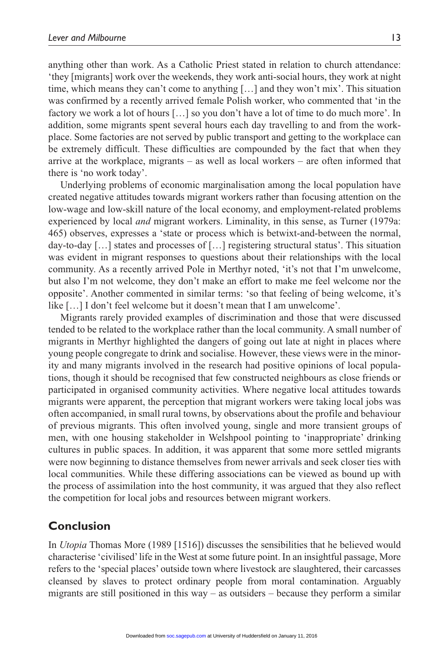anything other than work. As a Catholic Priest stated in relation to church attendance: 'they [migrants] work over the weekends, they work anti-social hours, they work at night time, which means they can't come to anything […] and they won't mix'. This situation was confirmed by a recently arrived female Polish worker, who commented that 'in the factory we work a lot of hours […] so you don't have a lot of time to do much more'. In addition, some migrants spent several hours each day travelling to and from the workplace. Some factories are not served by public transport and getting to the workplace can be extremely difficult. These difficulties are compounded by the fact that when they arrive at the workplace, migrants – as well as local workers – are often informed that there is 'no work today'.

Underlying problems of economic marginalisation among the local population have created negative attitudes towards migrant workers rather than focusing attention on the low-wage and low-skill nature of the local economy, and employment-related problems experienced by local *and* migrant workers. Liminality, in this sense, as Turner (1979a: 465) observes, expresses a 'state or process which is betwixt-and-between the normal, day-to-day […] states and processes of […] registering structural status'. This situation was evident in migrant responses to questions about their relationships with the local community. As a recently arrived Pole in Merthyr noted, 'it's not that I'm unwelcome, but also I'm not welcome, they don't make an effort to make me feel welcome nor the opposite'. Another commented in similar terms: 'so that feeling of being welcome, it's like […] I don't feel welcome but it doesn't mean that I am unwelcome'.

Migrants rarely provided examples of discrimination and those that were discussed tended to be related to the workplace rather than the local community. A small number of migrants in Merthyr highlighted the dangers of going out late at night in places where young people congregate to drink and socialise. However, these views were in the minority and many migrants involved in the research had positive opinions of local populations, though it should be recognised that few constructed neighbours as close friends or participated in organised community activities. Where negative local attitudes towards migrants were apparent, the perception that migrant workers were taking local jobs was often accompanied, in small rural towns, by observations about the profile and behaviour of previous migrants. This often involved young, single and more transient groups of men, with one housing stakeholder in Welshpool pointing to 'inappropriate' drinking cultures in public spaces. In addition, it was apparent that some more settled migrants were now beginning to distance themselves from newer arrivals and seek closer ties with local communities. While these differing associations can be viewed as bound up with the process of assimilation into the host community, it was argued that they also reflect the competition for local jobs and resources between migrant workers.

# **Conclusion**

In *Utopia* Thomas More (1989 [1516]) discusses the sensibilities that he believed would characterise 'civilised' life in the West at some future point. In an insightful passage, More refers to the 'special places' outside town where livestock are slaughtered, their carcasses cleansed by slaves to protect ordinary people from moral contamination. Arguably migrants are still positioned in this way – as outsiders – because they perform a similar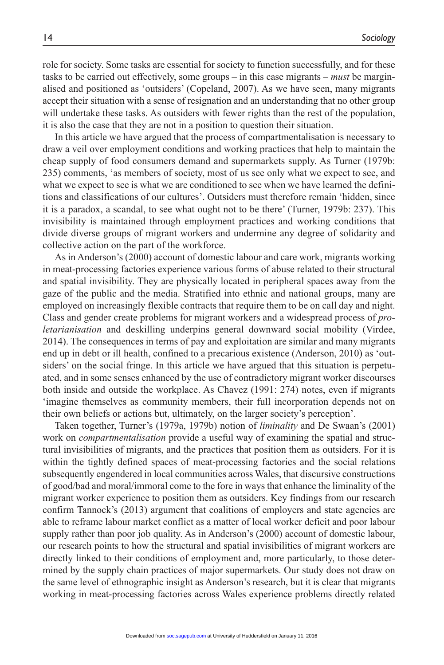role for society. Some tasks are essential for society to function successfully, and for these tasks to be carried out effectively, some groups – in this case migrants – *must* be marginalised and positioned as 'outsiders' (Copeland, 2007). As we have seen, many migrants accept their situation with a sense of resignation and an understanding that no other group will undertake these tasks. As outsiders with fewer rights than the rest of the population, it is also the case that they are not in a position to question their situation.

In this article we have argued that the process of compartmentalisation is necessary to draw a veil over employment conditions and working practices that help to maintain the cheap supply of food consumers demand and supermarkets supply. As Turner (1979b: 235) comments, 'as members of society, most of us see only what we expect to see, and what we expect to see is what we are conditioned to see when we have learned the definitions and classifications of our cultures'. Outsiders must therefore remain 'hidden, since it is a paradox, a scandal, to see what ought not to be there' (Turner, 1979b: 237). This invisibility is maintained through employment practices and working conditions that divide diverse groups of migrant workers and undermine any degree of solidarity and collective action on the part of the workforce.

As in Anderson's (2000) account of domestic labour and care work, migrants working in meat-processing factories experience various forms of abuse related to their structural and spatial invisibility. They are physically located in peripheral spaces away from the gaze of the public and the media. Stratified into ethnic and national groups, many are employed on increasingly flexible contracts that require them to be on call day and night. Class and gender create problems for migrant workers and a widespread process of *proletarianisation* and deskilling underpins general downward social mobility (Virdee, 2014). The consequences in terms of pay and exploitation are similar and many migrants end up in debt or ill health, confined to a precarious existence (Anderson, 2010) as 'outsiders' on the social fringe. In this article we have argued that this situation is perpetuated, and in some senses enhanced by the use of contradictory migrant worker discourses both inside and outside the workplace. As Chavez (1991: 274) notes, even if migrants 'imagine themselves as community members, their full incorporation depends not on their own beliefs or actions but, ultimately, on the larger society's perception'.

Taken together, Turner's (1979a, 1979b) notion of *liminality* and De Swaan's (2001) work on *compartmentalisation* provide a useful way of examining the spatial and structural invisibilities of migrants, and the practices that position them as outsiders. For it is within the tightly defined spaces of meat-processing factories and the social relations subsequently engendered in local communities across Wales, that discursive constructions of good/bad and moral/immoral come to the fore in ways that enhance the liminality of the migrant worker experience to position them as outsiders. Key findings from our research confirm Tannock's (2013) argument that coalitions of employers and state agencies are able to reframe labour market conflict as a matter of local worker deficit and poor labour supply rather than poor job quality. As in Anderson's (2000) account of domestic labour, our research points to how the structural and spatial invisibilities of migrant workers are directly linked to their conditions of employment and, more particularly, to those determined by the supply chain practices of major supermarkets. Our study does not draw on the same level of ethnographic insight as Anderson's research, but it is clear that migrants working in meat-processing factories across Wales experience problems directly related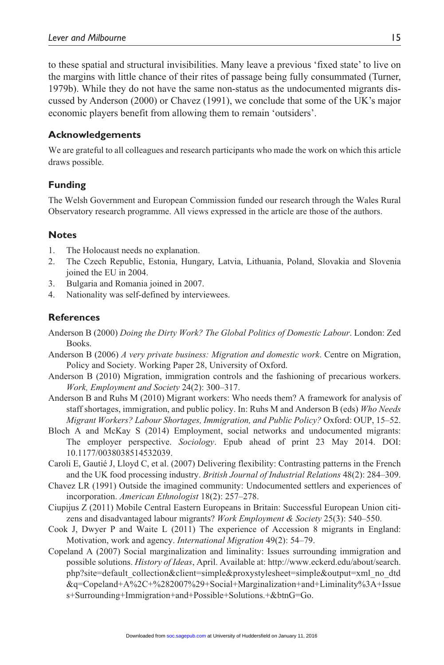to these spatial and structural invisibilities. Many leave a previous 'fixed state' to live on the margins with little chance of their rites of passage being fully consummated (Turner, 1979b). While they do not have the same non-status as the undocumented migrants discussed by Anderson (2000) or Chavez (1991), we conclude that some of the UK's major economic players benefit from allowing them to remain 'outsiders'.

# **Acknowledgements**

We are grateful to all colleagues and research participants who made the work on which this article draws possible.

# **Funding**

The Welsh Government and European Commission funded our research through the Wales Rural Observatory research programme. All views expressed in the article are those of the authors.

#### **Notes**

- 1. The Holocaust needs no explanation.
- 2. The Czech Republic, Estonia, Hungary, Latvia, Lithuania, Poland, Slovakia and Slovenia joined the EU in 2004.
- 3. Bulgaria and Romania joined in 2007.
- 4. Nationality was self-defined by interviewees.

## **References**

- Anderson B (2000) *Doing the Dirty Work? The Global Politics of Domestic Labour*. London: Zed Books.
- Anderson B (2006) *A very private business: Migration and domestic work*. Centre on Migration, Policy and Society. Working Paper 28, University of Oxford.
- Anderson B (2010) Migration, immigration controls and the fashioning of precarious workers. *Work, Employment and Society* 24(2): 300–317.
- Anderson B and Ruhs M (2010) Migrant workers: Who needs them? A framework for analysis of staff shortages, immigration, and public policy. In: Ruhs M and Anderson B (eds) *Who Needs Migrant Workers? Labour Shortages, Immigration, and Public Policy?* Oxford: OUP, 15–52.
- Bloch A and McKay S (2014) Employment, social networks and undocumented migrants: The employer perspective. *Sociology*. Epub ahead of print 23 May 2014. DOI: 10.1177/0038038514532039.
- Caroli E, Gautié J, Lloyd C, et al. (2007) Delivering flexibility: Contrasting patterns in the French and the UK food processing industry. *British Journal of Industrial Relations* 48(2): 284–309.
- Chavez LR (1991) Outside the imagined community: Undocumented settlers and experiences of incorporation. *American Ethnologist* 18(2): 257–278.
- Ciupijus Z (2011) Mobile Central Eastern Europeans in Britain: Successful European Union citizens and disadvantaged labour migrants? *Work Employment & Society* 25(3): 540–550.
- Cook J, Dwyer P and Waite L (2011) The experience of Accession 8 migrants in England: Motivation, work and agency. *International Migration* 49(2): 54–79.
- Copeland A (2007) Social marginalization and liminality: Issues surrounding immigration and possible solutions. *History of Ideas*, April. Available at: [http://www.eckerd.edu/about/search.](http://www.eckerd.edu/about/search.php?site=default_collection&client=simple&proxystylesheet=simple&output=xml_no_dtd&q=Copeland+A%2C+%282007%29+Social+Marginalization+and+Liminality%3A+Issues+Surrounding+Immigration+and+Possible+Solutions.+&btnG=Go) [php?site=default\\_collection&client=simple&proxystylesheet=simple&output=xml\\_no\\_dtd](http://www.eckerd.edu/about/search.php?site=default_collection&client=simple&proxystylesheet=simple&output=xml_no_dtd&q=Copeland+A%2C+%282007%29+Social+Marginalization+and+Liminality%3A+Issues+Surrounding+Immigration+and+Possible+Solutions.+&btnG=Go) [&q=Copeland+A%2C+%282007%29+Social+Marginalization+and+Liminality%3A+Issue](http://www.eckerd.edu/about/search.php?site=default_collection&client=simple&proxystylesheet=simple&output=xml_no_dtd&q=Copeland+A%2C+%282007%29+Social+Marginalization+and+Liminality%3A+Issues+Surrounding+Immigration+and+Possible+Solutions.+&btnG=Go) [s+Surrounding+Immigration+and+Possible+Solutions.+&btnG=Go](http://www.eckerd.edu/about/search.php?site=default_collection&client=simple&proxystylesheet=simple&output=xml_no_dtd&q=Copeland+A%2C+%282007%29+Social+Marginalization+and+Liminality%3A+Issues+Surrounding+Immigration+and+Possible+Solutions.+&btnG=Go).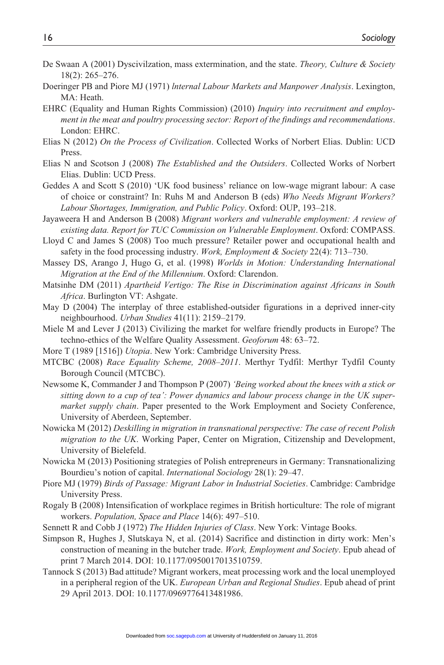- De Swaan A (2001) Dyscivilzation, mass extermination, and the state. *Theory, Culture & Society* 18(2): 265–276.
- Doeringer PB and Piore MJ (1971) *lnternal Labour Markets and Manpower Analysis*. Lexington, MA: Heath.
- EHRC (Equality and Human Rights Commission) (2010) *Inquiry into recruitment and employment in the meat and poultry processing sector: Report of the findings and recommendations*. London: EHRC.
- Elias N (2012) *On the Process of Civilization*. Collected Works of Norbert Elias. Dublin: UCD Press.
- Elias N and Scotson J (2008) *The Established and the Outsiders*. Collected Works of Norbert Elias. Dublin: UCD Press.
- Geddes A and Scott S (2010) 'UK food business' reliance on low-wage migrant labour: A case of choice or constraint? In: Ruhs M and Anderson B (eds) *Who Needs Migrant Workers? Labour Shortages, Immigration, and Public Policy*. Oxford: OUP, 193–218.
- Jayaweera H and Anderson B (2008) *Migrant workers and vulnerable employment: A review of existing data. Report for TUC Commission on Vulnerable Employment*. Oxford: COMPASS.
- Lloyd C and James S (2008) Too much pressure? Retailer power and occupational health and safety in the food processing industry. *Work, Employment & Society* 22(4): 713–730.
- Massey DS, Arango J, Hugo G, et al. (1998) *Worlds in Motion: Understanding International Migration at the End of the Millennium*. Oxford: Clarendon.
- Matsinhe DM (2011) *Apartheid Vertigo: The Rise in Discrimination against Africans in South Africa*. Burlington VT: Ashgate.
- May D (2004) The interplay of three established-outsider figurations in a deprived inner-city neighbourhood. *Urban Studies* 41(11): 2159–2179.
- Miele M and Lever J (2013) Civilizing the market for welfare friendly products in Europe? The techno-ethics of the Welfare Quality Assessment. *Geoforum* 48: 63–72.
- More T (1989 [1516]) *Utopia*. New York: Cambridge University Press.
- MTCBC (2008) *Race Equality Scheme, 2008–2011*. Merthyr Tydfil: Merthyr Tydfil County Borough Council (MTCBC).
- Newsome K, Commander J and Thompson P (2007) *'Being worked about the knees with a stick or sitting down to a cup of tea': Power dynamics and labour process change in the UK supermarket supply chain*. Paper presented to the Work Employment and Society Conference, University of Aberdeen, September.
- Nowicka M (2012) *Deskilling in migration in transnational perspective: The case of recent Polish migration to the UK*. Working Paper, Center on Migration, Citizenship and Development, University of Bielefeld.
- Nowicka M (2013) Positioning strategies of Polish entrepreneurs in Germany: Transnationalizing Bourdieu's notion of capital. *International Sociology* 28(1): 29–47.
- Piore MJ (1979) *Birds of Passage: Migrant Labor in Industrial Societies*. Cambridge: Cambridge University Press.
- Rogaly B (2008) Intensification of workplace regimes in British horticulture: The role of migrant workers. *Population, Space and Place* 14(6): 497–510.
- Sennett R and Cobb J (1972) *The Hidden Injuries of Class*. New York: Vintage Books.
- Simpson R, Hughes J, Slutskaya N, et al. (2014) Sacrifice and distinction in dirty work: Men's construction of meaning in the butcher trade. *Work, Employment and Society*. Epub ahead of print 7 March 2014. DOI: 10.1177/0950017013510759.
- Tannock S (2013) Bad attitude? Migrant workers, meat processing work and the local unemployed in a peripheral region of the UK. *European Urban and Regional Studies*. Epub ahead of print 29 April 2013. DOI: 10.1177/0969776413481986.